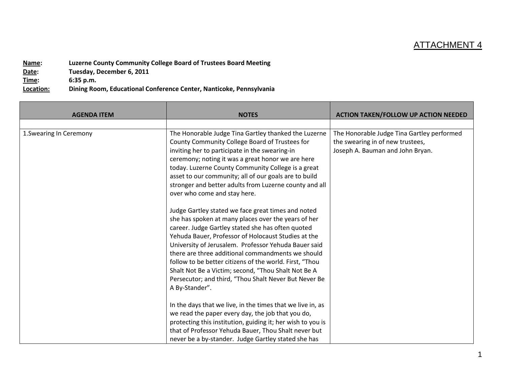## ATTACHMENT 4

**Name:** Luzerne County Community College Board of Trustees Board Meeting<br>Date: Tuesday, December 6, 2011 **Tuesday, December 6, 2011 Time: 6:35 p.m. Location: Dining Room, Educational Conference Center, Nanticoke, Pennsylvania**

| <b>AGENDA ITEM</b>      | <b>NOTES</b>                                                                                                                                                                                                                                                                                                                                                                                                                                                                                                                    | <b>ACTION TAKEN/FOLLOW UP ACTION NEEDED</b>                                                                        |
|-------------------------|---------------------------------------------------------------------------------------------------------------------------------------------------------------------------------------------------------------------------------------------------------------------------------------------------------------------------------------------------------------------------------------------------------------------------------------------------------------------------------------------------------------------------------|--------------------------------------------------------------------------------------------------------------------|
| 1. Swearing In Ceremony | The Honorable Judge Tina Gartley thanked the Luzerne<br>County Community College Board of Trustees for<br>inviting her to participate in the swearing-in<br>ceremony; noting it was a great honor we are here<br>today. Luzerne County Community College is a great<br>asset to our community; all of our goals are to build<br>stronger and better adults from Luzerne county and all<br>over who come and stay here.                                                                                                          | The Honorable Judge Tina Gartley performed<br>the swearing in of new trustees,<br>Joseph A. Bauman and John Bryan. |
|                         | Judge Gartley stated we face great times and noted<br>she has spoken at many places over the years of her<br>career. Judge Gartley stated she has often quoted<br>Yehuda Bauer, Professor of Holocaust Studies at the<br>University of Jerusalem. Professor Yehuda Bauer said<br>there are three additional commandments we should<br>follow to be better citizens of the world. First, "Thou<br>Shalt Not Be a Victim; second, "Thou Shalt Not Be A<br>Persecutor; and third, "Thou Shalt Never But Never Be<br>A By-Stander". |                                                                                                                    |
|                         | In the days that we live, in the times that we live in, as<br>we read the paper every day, the job that you do,<br>protecting this institution, guiding it; her wish to you is<br>that of Professor Yehuda Bauer, Thou Shalt never but<br>never be a by-stander. Judge Gartley stated she has                                                                                                                                                                                                                                   |                                                                                                                    |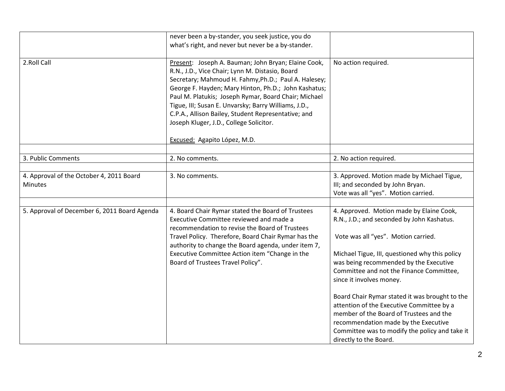|                                                            | never been a by-stander, you seek justice, you do<br>what's right, and never but never be a by-stander.                                                                                                                                                                                                                                                                                                                                                                  |                                                                                                                                                                                                                                                                                                                                                                                                                                                                                                                                                                 |
|------------------------------------------------------------|--------------------------------------------------------------------------------------------------------------------------------------------------------------------------------------------------------------------------------------------------------------------------------------------------------------------------------------------------------------------------------------------------------------------------------------------------------------------------|-----------------------------------------------------------------------------------------------------------------------------------------------------------------------------------------------------------------------------------------------------------------------------------------------------------------------------------------------------------------------------------------------------------------------------------------------------------------------------------------------------------------------------------------------------------------|
| 2.Roll Call                                                | Present: Joseph A. Bauman; John Bryan; Elaine Cook,<br>R.N., J.D., Vice Chair; Lynn M. Distasio, Board<br>Secretary; Mahmoud H. Fahmy, Ph.D.; Paul A. Halesey;<br>George F. Hayden; Mary Hinton, Ph.D.; John Kashatus;<br>Paul M. Platukis; Joseph Rymar, Board Chair; Michael<br>Tigue, III; Susan E. Unvarsky; Barry Williams, J.D.,<br>C.P.A., Allison Bailey, Student Representative; and<br>Joseph Kluger, J.D., College Solicitor.<br>Excused: Agapito López, M.D. | No action required.                                                                                                                                                                                                                                                                                                                                                                                                                                                                                                                                             |
|                                                            |                                                                                                                                                                                                                                                                                                                                                                                                                                                                          |                                                                                                                                                                                                                                                                                                                                                                                                                                                                                                                                                                 |
| 3. Public Comments                                         | 2. No comments.                                                                                                                                                                                                                                                                                                                                                                                                                                                          | 2. No action required.                                                                                                                                                                                                                                                                                                                                                                                                                                                                                                                                          |
| 4. Approval of the October 4, 2011 Board<br><b>Minutes</b> | 3. No comments.                                                                                                                                                                                                                                                                                                                                                                                                                                                          | 3. Approved. Motion made by Michael Tigue,<br>III; and seconded by John Bryan.<br>Vote was all "yes". Motion carried.                                                                                                                                                                                                                                                                                                                                                                                                                                           |
| 5. Approval of December 6, 2011 Board Agenda               | 4. Board Chair Rymar stated the Board of Trustees<br>Executive Committee reviewed and made a<br>recommendation to revise the Board of Trustees<br>Travel Policy. Therefore, Board Chair Rymar has the<br>authority to change the Board agenda, under item 7,<br>Executive Committee Action item "Change in the<br>Board of Trustees Travel Policy".                                                                                                                      | 4. Approved. Motion made by Elaine Cook,<br>R.N., J.D.; and seconded by John Kashatus.<br>Vote was all "yes". Motion carried.<br>Michael Tigue, III, questioned why this policy<br>was being recommended by the Executive<br>Committee and not the Finance Committee,<br>since it involves money.<br>Board Chair Rymar stated it was brought to the<br>attention of the Executive Committee by a<br>member of the Board of Trustees and the<br>recommendation made by the Executive<br>Committee was to modify the policy and take it<br>directly to the Board. |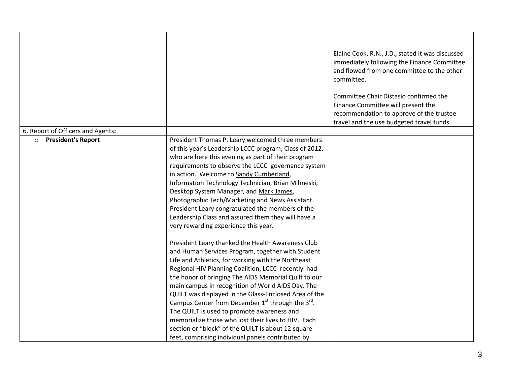|                                      |                                                                                                                                                                                                                                                                                                                                                                                                                                                                                                                                                                                                                                                                   | Elaine Cook, R.N., J.D., stated it was discussed<br>immediately following the Finance Committee<br>and flowed from one committee to the other<br>committee.<br>Committee Chair Distasio confirmed the<br>Finance Committee will present the<br>recommendation to approve of the trustee<br>travel and the use budgeted travel funds. |
|--------------------------------------|-------------------------------------------------------------------------------------------------------------------------------------------------------------------------------------------------------------------------------------------------------------------------------------------------------------------------------------------------------------------------------------------------------------------------------------------------------------------------------------------------------------------------------------------------------------------------------------------------------------------------------------------------------------------|--------------------------------------------------------------------------------------------------------------------------------------------------------------------------------------------------------------------------------------------------------------------------------------------------------------------------------------|
| 6. Report of Officers and Agents:    |                                                                                                                                                                                                                                                                                                                                                                                                                                                                                                                                                                                                                                                                   |                                                                                                                                                                                                                                                                                                                                      |
| <b>President's Report</b><br>$\circ$ | President Thomas P. Leary welcomed three members<br>of this year's Leadership LCCC program, Class of 2012,<br>who are here this evening as part of their program<br>requirements to observe the LCCC governance system<br>in action. Welcome to Sandy Cumberland,<br>Information Technology Technician, Brian Mihneski,<br>Desktop System Manager, and Mark James,<br>Photographic Tech/Marketing and News Assistant.<br>President Leary congratulated the members of the<br>Leadership Class and assured them they will have a<br>very rewarding experience this year.                                                                                           |                                                                                                                                                                                                                                                                                                                                      |
|                                      | President Leary thanked the Health Awareness Club<br>and Human Services Program, together with Student<br>Life and Athletics, for working with the Northeast<br>Regional HIV Planning Coalition, LCCC recently had<br>the honor of bringing The AIDS Memorial Quilt to our<br>main campus in recognition of World AIDS Day. The<br>QUILT was displayed in the Glass-Enclosed Area of the<br>Campus Center from December $1st$ through the $3rd$ .<br>The QUILT is used to promote awareness and<br>memorialize those who lost their lives to HIV. Each<br>section or "block" of the QUILT is about 12 square<br>feet, comprising individual panels contributed by |                                                                                                                                                                                                                                                                                                                                      |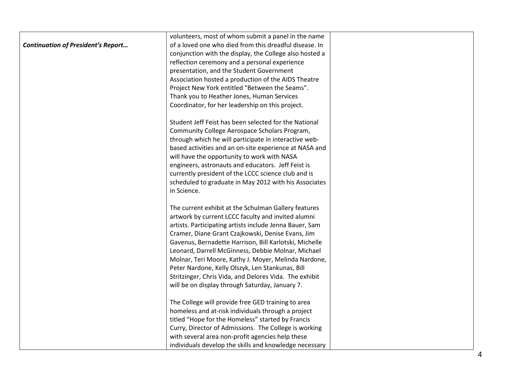|                                           | volunteers, most of whom submit a panel in the name     |  |
|-------------------------------------------|---------------------------------------------------------|--|
| <b>Continuation of President's Report</b> | of a loved one who died from this dreadful disease. In  |  |
|                                           | conjunction with the display, the College also hosted a |  |
|                                           | reflection ceremony and a personal experience           |  |
|                                           | presentation, and the Student Government                |  |
|                                           | Association hosted a production of the AIDS Theatre     |  |
|                                           | Project New York entitled "Between the Seams".          |  |
|                                           | Thank you to Heather Jones, Human Services              |  |
|                                           | Coordinator, for her leadership on this project.        |  |
|                                           | Student Jeff Feist has been selected for the National   |  |
|                                           | Community College Aerospace Scholars Program,           |  |
|                                           | through which he will participate in interactive web-   |  |
|                                           | based activities and an on-site experience at NASA and  |  |
|                                           | will have the opportunity to work with NASA             |  |
|                                           | engineers, astronauts and educators. Jeff Feist is      |  |
|                                           | currently president of the LCCC science club and is     |  |
|                                           | scheduled to graduate in May 2012 with his Associates   |  |
|                                           | in Science.                                             |  |
|                                           | The current exhibit at the Schulman Gallery features    |  |
|                                           | artwork by current LCCC faculty and invited alumni      |  |
|                                           | artists. Participating artists include Jenna Bauer, Sam |  |
|                                           | Cramer, Diane Grant Czajkowski, Denise Evans, Jim       |  |
|                                           | Gavenus, Bernadette Harrison, Bill Karlotski, Michelle  |  |
|                                           | Leonard, Darrell McGinness, Debbie Molnar, Michael      |  |
|                                           | Molnar, Teri Moore, Kathy J. Moyer, Melinda Nardone,    |  |
|                                           | Peter Nardone, Kelly Olszyk, Len Stankunas, Bill        |  |
|                                           | Stritzinger, Chris Vida, and Delores Vida. The exhibit  |  |
|                                           | will be on display through Saturday, January 7.         |  |
|                                           | The College will provide free GED training to area      |  |
|                                           | homeless and at-risk individuals through a project      |  |
|                                           | titled "Hope for the Homeless" started by Francis       |  |
|                                           | Curry, Director of Admissions. The College is working   |  |
|                                           | with several area non-profit agencies help these        |  |
|                                           | individuals develop the skills and knowledge necessary  |  |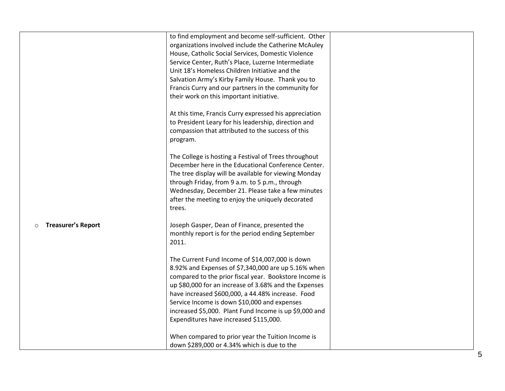|                                      | to find employment and become self-sufficient. Other<br>organizations involved include the Catherine McAuley<br>House, Catholic Social Services, Domestic Violence<br>Service Center, Ruth's Place, Luzerne Intermediate<br>Unit 18's Homeless Children Initiative and the<br>Salvation Army's Kirby Family House. Thank you to<br>Francis Curry and our partners in the community for<br>their work on this important initiative. |  |
|--------------------------------------|------------------------------------------------------------------------------------------------------------------------------------------------------------------------------------------------------------------------------------------------------------------------------------------------------------------------------------------------------------------------------------------------------------------------------------|--|
|                                      | At this time, Francis Curry expressed his appreciation<br>to President Leary for his leadership, direction and<br>compassion that attributed to the success of this<br>program.                                                                                                                                                                                                                                                    |  |
|                                      | The College is hosting a Festival of Trees throughout<br>December here in the Educational Conference Center.<br>The tree display will be available for viewing Monday<br>through Friday, from 9 a.m. to 5 p.m., through<br>Wednesday, December 21. Please take a few minutes<br>after the meeting to enjoy the uniquely decorated<br>trees.                                                                                        |  |
| <b>Treasurer's Report</b><br>$\circ$ | Joseph Gasper, Dean of Finance, presented the<br>monthly report is for the period ending September<br>2011.                                                                                                                                                                                                                                                                                                                        |  |
|                                      | The Current Fund Income of \$14,007,000 is down<br>8.92% and Expenses of \$7,340,000 are up 5.16% when<br>compared to the prior fiscal year. Bookstore Income is<br>up \$80,000 for an increase of 3.68% and the Expenses<br>have increased \$600,000, a 44.48% increase. Food<br>Service Income is down \$10,000 and expenses<br>increased \$5,000. Plant Fund Income is up \$9,000 and<br>Expenditures have increased \$115,000. |  |
|                                      | When compared to prior year the Tuition Income is<br>down \$289,000 or 4.34% which is due to the                                                                                                                                                                                                                                                                                                                                   |  |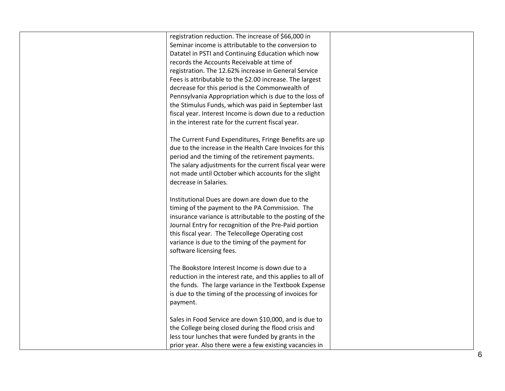| registration reduction. The increase of \$66,000 in<br>Seminar income is attributable to the conversion to<br>Datatel in PSTI and Continuing Education which now                                                                                                                                                                                                                                                                                                                              |  |
|-----------------------------------------------------------------------------------------------------------------------------------------------------------------------------------------------------------------------------------------------------------------------------------------------------------------------------------------------------------------------------------------------------------------------------------------------------------------------------------------------|--|
| records the Accounts Receivable at time of                                                                                                                                                                                                                                                                                                                                                                                                                                                    |  |
| registration. The 12.62% increase in General Service                                                                                                                                                                                                                                                                                                                                                                                                                                          |  |
| Fees is attributable to the \$2.00 increase. The largest                                                                                                                                                                                                                                                                                                                                                                                                                                      |  |
| decrease for this period is the Commonwealth of                                                                                                                                                                                                                                                                                                                                                                                                                                               |  |
| Pennsylvania Appropriation which is due to the loss of                                                                                                                                                                                                                                                                                                                                                                                                                                        |  |
| the Stimulus Funds, which was paid in September last                                                                                                                                                                                                                                                                                                                                                                                                                                          |  |
| fiscal year. Interest Income is down due to a reduction                                                                                                                                                                                                                                                                                                                                                                                                                                       |  |
| in the interest rate for the current fiscal year.                                                                                                                                                                                                                                                                                                                                                                                                                                             |  |
|                                                                                                                                                                                                                                                                                                                                                                                                                                                                                               |  |
| The Current Fund Expenditures, Fringe Benefits are up                                                                                                                                                                                                                                                                                                                                                                                                                                         |  |
| due to the increase in the Health Care Invoices for this                                                                                                                                                                                                                                                                                                                                                                                                                                      |  |
| period and the timing of the retirement payments.                                                                                                                                                                                                                                                                                                                                                                                                                                             |  |
| The salary adjustments for the current fiscal year were                                                                                                                                                                                                                                                                                                                                                                                                                                       |  |
|                                                                                                                                                                                                                                                                                                                                                                                                                                                                                               |  |
| not made until October which accounts for the slight                                                                                                                                                                                                                                                                                                                                                                                                                                          |  |
|                                                                                                                                                                                                                                                                                                                                                                                                                                                                                               |  |
|                                                                                                                                                                                                                                                                                                                                                                                                                                                                                               |  |
|                                                                                                                                                                                                                                                                                                                                                                                                                                                                                               |  |
|                                                                                                                                                                                                                                                                                                                                                                                                                                                                                               |  |
|                                                                                                                                                                                                                                                                                                                                                                                                                                                                                               |  |
|                                                                                                                                                                                                                                                                                                                                                                                                                                                                                               |  |
|                                                                                                                                                                                                                                                                                                                                                                                                                                                                                               |  |
|                                                                                                                                                                                                                                                                                                                                                                                                                                                                                               |  |
|                                                                                                                                                                                                                                                                                                                                                                                                                                                                                               |  |
|                                                                                                                                                                                                                                                                                                                                                                                                                                                                                               |  |
|                                                                                                                                                                                                                                                                                                                                                                                                                                                                                               |  |
| reduction in the interest rate, and this applies to all of                                                                                                                                                                                                                                                                                                                                                                                                                                    |  |
| the funds. The large variance in the Textbook Expense                                                                                                                                                                                                                                                                                                                                                                                                                                         |  |
| is due to the timing of the processing of invoices for                                                                                                                                                                                                                                                                                                                                                                                                                                        |  |
| payment.                                                                                                                                                                                                                                                                                                                                                                                                                                                                                      |  |
|                                                                                                                                                                                                                                                                                                                                                                                                                                                                                               |  |
| Sales in Food Service are down \$10,000, and is due to                                                                                                                                                                                                                                                                                                                                                                                                                                        |  |
| the College being closed during the flood crisis and                                                                                                                                                                                                                                                                                                                                                                                                                                          |  |
|                                                                                                                                                                                                                                                                                                                                                                                                                                                                                               |  |
| prior year. Also there were a few existing vacancies in                                                                                                                                                                                                                                                                                                                                                                                                                                       |  |
| decrease in Salaries.<br>Institutional Dues are down are down due to the<br>timing of the payment to the PA Commission. The<br>insurance variance is attributable to the posting of the<br>Journal Entry for recognition of the Pre-Paid portion<br>this fiscal year. The Telecollege Operating cost<br>variance is due to the timing of the payment for<br>software licensing fees.<br>The Bookstore Interest Income is down due to a<br>less tour lunches that were funded by grants in the |  |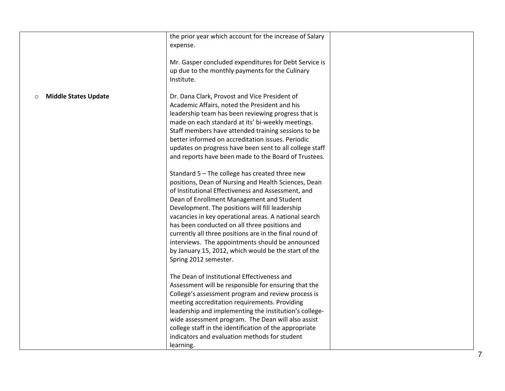|                             | the prior year which account for the increase of Salary<br>expense.                                                                                                                                                                                                                                                                                                                                                                                                                                                                                                                                                                                                                                                                                                                                                                                                                                                                                                                        |  |
|-----------------------------|--------------------------------------------------------------------------------------------------------------------------------------------------------------------------------------------------------------------------------------------------------------------------------------------------------------------------------------------------------------------------------------------------------------------------------------------------------------------------------------------------------------------------------------------------------------------------------------------------------------------------------------------------------------------------------------------------------------------------------------------------------------------------------------------------------------------------------------------------------------------------------------------------------------------------------------------------------------------------------------------|--|
|                             | Mr. Gasper concluded expenditures for Debt Service is<br>up due to the monthly payments for the Culinary<br>Institute.                                                                                                                                                                                                                                                                                                                                                                                                                                                                                                                                                                                                                                                                                                                                                                                                                                                                     |  |
| <b>Middle States Update</b> | Dr. Dana Clark, Provost and Vice President of<br>Academic Affairs, noted the President and his<br>leadership team has been reviewing progress that is<br>made on each standard at its' bi-weekly meetings.<br>Staff members have attended training sessions to be<br>better informed on accreditation issues. Periodic<br>updates on progress have been sent to all college staff<br>and reports have been made to the Board of Trustees.<br>Standard 5 - The college has created three new<br>positions, Dean of Nursing and Health Sciences, Dean<br>of Institutional Effectiveness and Assessment, and<br>Dean of Enrollment Management and Student<br>Development. The positions will fill leadership<br>vacancies in key operational areas. A national search<br>has been conducted on all three positions and<br>currently all three positions are in the final round of<br>interviews. The appointments should be announced<br>by January 15, 2012, which would be the start of the |  |
|                             | Spring 2012 semester.<br>The Dean of Institutional Effectiveness and<br>Assessment will be responsible for ensuring that the<br>College's assessment program and review process is<br>meeting accreditation requirements. Providing<br>leadership and implementing the institution's college-<br>wide assessment program. The Dean will also assist<br>college staff in the identification of the appropriate<br>indicators and evaluation methods for student<br>learning.                                                                                                                                                                                                                                                                                                                                                                                                                                                                                                                |  |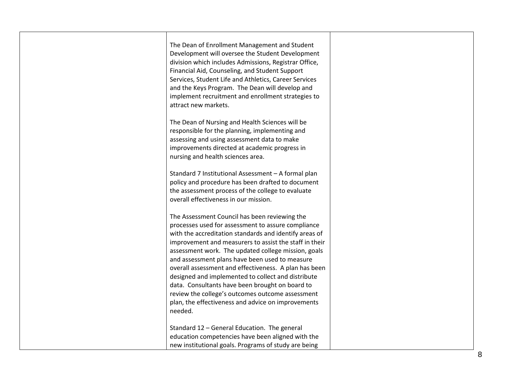| The Dean of Enrollment Management and Student<br>Development will oversee the Student Development<br>division which includes Admissions, Registrar Office,<br>Financial Aid, Counseling, and Student Support<br>Services, Student Life and Athletics, Career Services<br>and the Keys Program. The Dean will develop and<br>implement recruitment and enrollment strategies to<br>attract new markets.                                                                                             |  |
|----------------------------------------------------------------------------------------------------------------------------------------------------------------------------------------------------------------------------------------------------------------------------------------------------------------------------------------------------------------------------------------------------------------------------------------------------------------------------------------------------|--|
| The Dean of Nursing and Health Sciences will be<br>responsible for the planning, implementing and<br>assessing and using assessment data to make<br>improvements directed at academic progress in<br>nursing and health sciences area.                                                                                                                                                                                                                                                             |  |
| Standard 7 Institutional Assessment - A formal plan<br>policy and procedure has been drafted to document<br>the assessment process of the college to evaluate<br>overall effectiveness in our mission.                                                                                                                                                                                                                                                                                             |  |
| The Assessment Council has been reviewing the<br>processes used for assessment to assure compliance<br>with the accreditation standards and identify areas of<br>improvement and measurers to assist the staff in their<br>assessment work. The updated college mission, goals<br>and assessment plans have been used to measure<br>overall assessment and effectiveness. A plan has been<br>designed and implemented to collect and distribute<br>data. Consultants have been brought on board to |  |
| review the college's outcomes outcome assessment<br>plan, the effectiveness and advice on improvements<br>needed.<br>Standard 12 - General Education. The general<br>education competencies have been aligned with the<br>new institutional goals. Programs of study are being                                                                                                                                                                                                                     |  |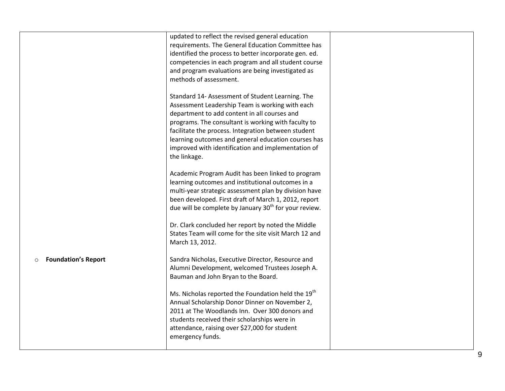|                                       | updated to reflect the revised general education<br>requirements. The General Education Committee has<br>identified the process to better incorporate gen. ed.<br>competencies in each program and all student course<br>and program evaluations are being investigated as<br>methods of assessment.                                                                                           |  |
|---------------------------------------|------------------------------------------------------------------------------------------------------------------------------------------------------------------------------------------------------------------------------------------------------------------------------------------------------------------------------------------------------------------------------------------------|--|
|                                       | Standard 14- Assessment of Student Learning. The<br>Assessment Leadership Team is working with each<br>department to add content in all courses and<br>programs. The consultant is working with faculty to<br>facilitate the process. Integration between student<br>learning outcomes and general education courses has<br>improved with identification and implementation of<br>the linkage. |  |
|                                       | Academic Program Audit has been linked to program<br>learning outcomes and institutional outcomes in a<br>multi-year strategic assessment plan by division have<br>been developed. First draft of March 1, 2012, report<br>due will be complete by January $30th$ for your review.                                                                                                             |  |
|                                       | Dr. Clark concluded her report by noted the Middle<br>States Team will come for the site visit March 12 and<br>March 13, 2012.                                                                                                                                                                                                                                                                 |  |
| <b>Foundation's Report</b><br>$\circ$ | Sandra Nicholas, Executive Director, Resource and<br>Alumni Development, welcomed Trustees Joseph A.<br>Bauman and John Bryan to the Board.                                                                                                                                                                                                                                                    |  |
|                                       | Ms. Nicholas reported the Foundation held the 19 <sup>th</sup><br>Annual Scholarship Donor Dinner on November 2,<br>2011 at The Woodlands Inn. Over 300 donors and<br>students received their scholarships were in<br>attendance, raising over \$27,000 for student<br>emergency funds.                                                                                                        |  |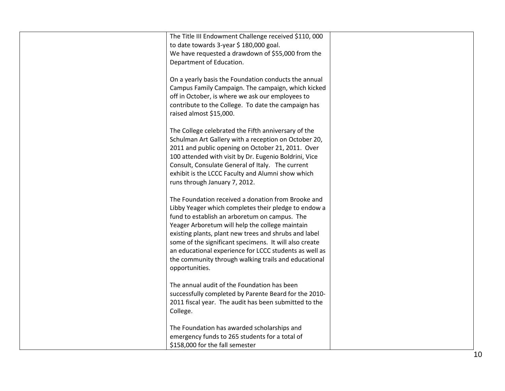| The Title III Endowment Challenge received \$110, 000<br>to date towards 3-year \$ 180,000 goal.<br>We have requested a drawdown of \$55,000 from the<br>Department of Education.                                                                                                                                                                                                                                                                                     |  |
|-----------------------------------------------------------------------------------------------------------------------------------------------------------------------------------------------------------------------------------------------------------------------------------------------------------------------------------------------------------------------------------------------------------------------------------------------------------------------|--|
| On a yearly basis the Foundation conducts the annual<br>Campus Family Campaign. The campaign, which kicked<br>off in October, is where we ask our employees to<br>contribute to the College. To date the campaign has<br>raised almost \$15,000.                                                                                                                                                                                                                      |  |
| The College celebrated the Fifth anniversary of the<br>Schulman Art Gallery with a reception on October 20,<br>2011 and public opening on October 21, 2011. Over<br>100 attended with visit by Dr. Eugenio Boldrini, Vice<br>Consult, Consulate General of Italy. The current<br>exhibit is the LCCC Faculty and Alumni show which<br>runs through January 7, 2012.                                                                                                   |  |
| The Foundation received a donation from Brooke and<br>Libby Yeager which completes their pledge to endow a<br>fund to establish an arboretum on campus. The<br>Yeager Arboretum will help the college maintain<br>existing plants, plant new trees and shrubs and label<br>some of the significant specimens. It will also create<br>an educational experience for LCCC students as well as<br>the community through walking trails and educational<br>opportunities. |  |
| The annual audit of the Foundation has been<br>successfully completed by Parente Beard for the 2010-<br>2011 fiscal year. The audit has been submitted to the<br>College.                                                                                                                                                                                                                                                                                             |  |
| The Foundation has awarded scholarships and<br>emergency funds to 265 students for a total of<br>\$158,000 for the fall semester                                                                                                                                                                                                                                                                                                                                      |  |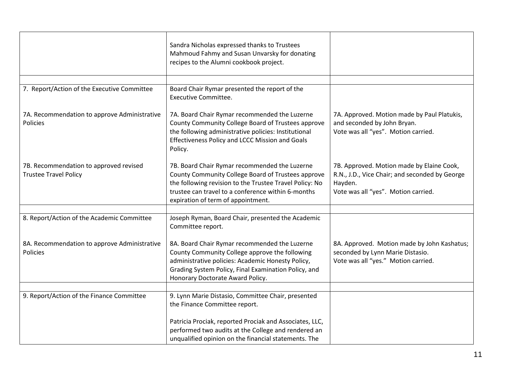|                                                                        | Sandra Nicholas expressed thanks to Trustees<br>Mahmoud Fahmy and Susan Unvarsky for donating<br>recipes to the Alumni cookbook project.                                                                                                                   |                                                                                                                                               |
|------------------------------------------------------------------------|------------------------------------------------------------------------------------------------------------------------------------------------------------------------------------------------------------------------------------------------------------|-----------------------------------------------------------------------------------------------------------------------------------------------|
|                                                                        |                                                                                                                                                                                                                                                            |                                                                                                                                               |
| 7. Report/Action of the Executive Committee                            | Board Chair Rymar presented the report of the<br><b>Executive Committee.</b>                                                                                                                                                                               |                                                                                                                                               |
| 7A. Recommendation to approve Administrative<br><b>Policies</b>        | 7A. Board Chair Rymar recommended the Luzerne<br>County Community College Board of Trustees approve<br>the following administrative policies: Institutional<br>Effectiveness Policy and LCCC Mission and Goals<br>Policy.                                  | 7A. Approved. Motion made by Paul Platukis,<br>and seconded by John Bryan.<br>Vote was all "yes". Motion carried.                             |
| 7B. Recommendation to approved revised<br><b>Trustee Travel Policy</b> | 7B. Board Chair Rymar recommended the Luzerne<br>County Community College Board of Trustees approve<br>the following revision to the Trustee Travel Policy: No<br>trustee can travel to a conference within 6-months<br>expiration of term of appointment. | 7B. Approved. Motion made by Elaine Cook,<br>R.N., J.D., Vice Chair; and seconded by George<br>Hayden.<br>Vote was all "yes". Motion carried. |
|                                                                        |                                                                                                                                                                                                                                                            |                                                                                                                                               |
| 8. Report/Action of the Academic Committee                             | Joseph Ryman, Board Chair, presented the Academic<br>Committee report.                                                                                                                                                                                     |                                                                                                                                               |
| 8A. Recommendation to approve Administrative<br>Policies               | 8A. Board Chair Rymar recommended the Luzerne<br>County Community College approve the following<br>administrative policies: Academic Honesty Policy,<br>Grading System Policy, Final Examination Policy, and<br>Honorary Doctorate Award Policy.           | 8A. Approved. Motion made by John Kashatus;<br>seconded by Lynn Marie Distasio.<br>Vote was all "yes." Motion carried.                        |
|                                                                        |                                                                                                                                                                                                                                                            |                                                                                                                                               |
| 9. Report/Action of the Finance Committee                              | 9. Lynn Marie Distasio, Committee Chair, presented<br>the Finance Committee report.                                                                                                                                                                        |                                                                                                                                               |
|                                                                        | Patricia Prociak, reported Prociak and Associates, LLC,<br>performed two audits at the College and rendered an<br>unqualified opinion on the financial statements. The                                                                                     |                                                                                                                                               |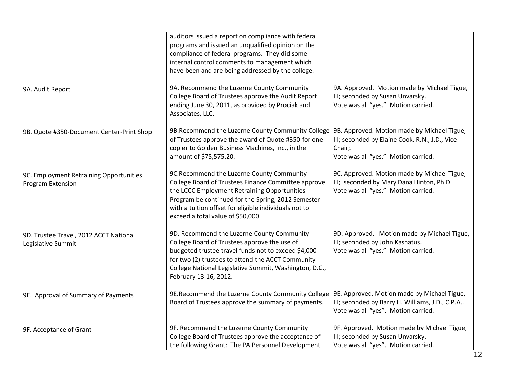|                                                              | auditors issued a report on compliance with federal<br>programs and issued an unqualified opinion on the<br>compliance of federal programs. They did some<br>internal control comments to management which<br>have been and are being addressed by the college.                                      |                                                                                                                                                 |
|--------------------------------------------------------------|------------------------------------------------------------------------------------------------------------------------------------------------------------------------------------------------------------------------------------------------------------------------------------------------------|-------------------------------------------------------------------------------------------------------------------------------------------------|
| 9A. Audit Report                                             | 9A. Recommend the Luzerne County Community<br>College Board of Trustees approve the Audit Report<br>ending June 30, 2011, as provided by Prociak and<br>Associates, LLC.                                                                                                                             | 9A. Approved. Motion made by Michael Tigue,<br>III; seconded by Susan Unvarsky.<br>Vote was all "yes." Motion carried.                          |
| 9B. Quote #350-Document Center-Print Shop                    | 9B. Recommend the Luzerne County Community College<br>of Trustees approve the award of Quote #350-for one<br>copier to Golden Business Machines, Inc., in the<br>amount of \$75,575.20.                                                                                                              | 9B. Approved. Motion made by Michael Tigue,<br>III; seconded by Elaine Cook, R.N., J.D., Vice<br>Chair;.<br>Vote was all "yes." Motion carried. |
| 9C. Employment Retraining Opportunities<br>Program Extension | 9C.Recommend the Luzerne County Community<br>College Board of Trustees Finance Committee approve<br>the LCCC Employment Retraining Opportunities<br>Program be continued for the Spring, 2012 Semester<br>with a tuition offset for eligible individuals not to<br>exceed a total value of \$50,000. | 9C. Approved. Motion made by Michael Tigue,<br>III; seconded by Mary Dana Hinton, Ph.D.<br>Vote was all "yes." Motion carried.                  |
| 9D. Trustee Travel, 2012 ACCT National<br>Legislative Summit | 9D. Recommend the Luzerne County Community<br>College Board of Trustees approve the use of<br>budgeted trustee travel funds not to exceed \$4,000<br>for two (2) trustees to attend the ACCT Community<br>College National Legislative Summit, Washington, D.C.,<br>February 13-16, 2012.            | 9D. Approved. Motion made by Michael Tigue,<br>III; seconded by John Kashatus.<br>Vote was all "yes." Motion carried.                           |
| 9E. Approval of Summary of Payments                          | 9E.Recommend the Luzerne County Community College<br>Board of Trustees approve the summary of payments.                                                                                                                                                                                              | 9E. Approved. Motion made by Michael Tigue,<br>III; seconded by Barry H. Williams, J.D., C.P.A<br>Vote was all "yes". Motion carried.           |
| 9F. Acceptance of Grant                                      | 9F. Recommend the Luzerne County Community<br>College Board of Trustees approve the acceptance of<br>the following Grant: The PA Personnel Development                                                                                                                                               | 9F. Approved. Motion made by Michael Tigue,<br>III; seconded by Susan Unvarsky.<br>Vote was all "yes". Motion carried.                          |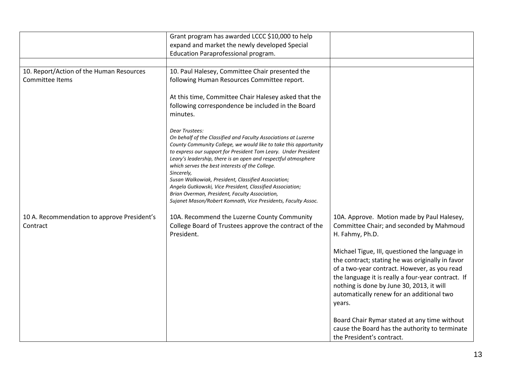|                                                             | Grant program has awarded LCCC \$10,000 to help<br>expand and market the newly developed Special<br>Education Paraprofessional program.                                                                                                                                                                                                                                                                                                                                                                                                                                                            |                                                                                                                                                                                                                                                                                                              |
|-------------------------------------------------------------|----------------------------------------------------------------------------------------------------------------------------------------------------------------------------------------------------------------------------------------------------------------------------------------------------------------------------------------------------------------------------------------------------------------------------------------------------------------------------------------------------------------------------------------------------------------------------------------------------|--------------------------------------------------------------------------------------------------------------------------------------------------------------------------------------------------------------------------------------------------------------------------------------------------------------|
|                                                             |                                                                                                                                                                                                                                                                                                                                                                                                                                                                                                                                                                                                    |                                                                                                                                                                                                                                                                                                              |
| 10. Report/Action of the Human Resources<br>Committee Items | 10. Paul Halesey, Committee Chair presented the<br>following Human Resources Committee report.                                                                                                                                                                                                                                                                                                                                                                                                                                                                                                     |                                                                                                                                                                                                                                                                                                              |
|                                                             | At this time, Committee Chair Halesey asked that the<br>following correspondence be included in the Board<br>minutes.                                                                                                                                                                                                                                                                                                                                                                                                                                                                              |                                                                                                                                                                                                                                                                                                              |
|                                                             | Dear Trustees:<br>On behalf of the Classified and Faculty Associations at Luzerne<br>County Community College, we would like to take this opportunity<br>to express our support for President Tom Leary. Under President<br>Leary's leadership, there is an open and respectful atmosphere<br>which serves the best interests of the College.<br>Sincerely,<br>Susan Walkowiak, President, Classified Association;<br>Angela Gutkowski, Vice President, Classified Association;<br>Brian Overman, President, Faculty Association,<br>Sujanet Mason/Robert Komnath, Vice Presidents, Faculty Assoc. |                                                                                                                                                                                                                                                                                                              |
| 10 A. Recommendation to approve President's<br>Contract     | 10A. Recommend the Luzerne County Community<br>College Board of Trustees approve the contract of the<br>President.                                                                                                                                                                                                                                                                                                                                                                                                                                                                                 | 10A. Approve. Motion made by Paul Halesey,<br>Committee Chair; and seconded by Mahmoud<br>H. Fahmy, Ph.D.                                                                                                                                                                                                    |
|                                                             |                                                                                                                                                                                                                                                                                                                                                                                                                                                                                                                                                                                                    | Michael Tigue, III, questioned the language in<br>the contract; stating he was originally in favor<br>of a two-year contract. However, as you read<br>the language it is really a four-year contract. If<br>nothing is done by June 30, 2013, it will<br>automatically renew for an additional two<br>years. |
|                                                             |                                                                                                                                                                                                                                                                                                                                                                                                                                                                                                                                                                                                    | Board Chair Rymar stated at any time without<br>cause the Board has the authority to terminate<br>the President's contract.                                                                                                                                                                                  |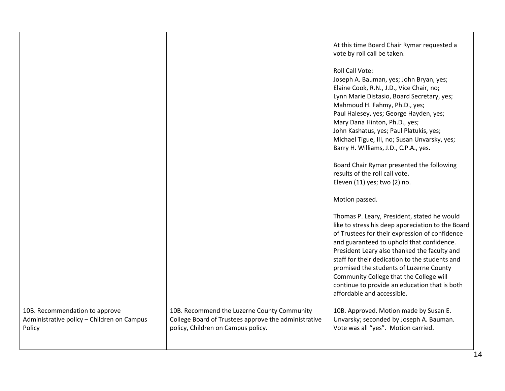|                                                                                        |                                                                                                                                           | At this time Board Chair Rymar requested a<br>vote by roll call be taken.                                                                                                                                                                                                                                                                                                                                                                                              |
|----------------------------------------------------------------------------------------|-------------------------------------------------------------------------------------------------------------------------------------------|------------------------------------------------------------------------------------------------------------------------------------------------------------------------------------------------------------------------------------------------------------------------------------------------------------------------------------------------------------------------------------------------------------------------------------------------------------------------|
|                                                                                        |                                                                                                                                           | Roll Call Vote:<br>Joseph A. Bauman, yes; John Bryan, yes;<br>Elaine Cook, R.N., J.D., Vice Chair, no;<br>Lynn Marie Distasio, Board Secretary, yes;<br>Mahmoud H. Fahmy, Ph.D., yes;<br>Paul Halesey, yes; George Hayden, yes;<br>Mary Dana Hinton, Ph.D., yes;<br>John Kashatus, yes; Paul Platukis, yes;<br>Michael Tigue, III, no; Susan Unvarsky, yes;<br>Barry H. Williams, J.D., C.P.A., yes.                                                                   |
|                                                                                        |                                                                                                                                           | Board Chair Rymar presented the following<br>results of the roll call vote.<br>Eleven (11) yes; two (2) no.                                                                                                                                                                                                                                                                                                                                                            |
|                                                                                        |                                                                                                                                           | Motion passed.                                                                                                                                                                                                                                                                                                                                                                                                                                                         |
|                                                                                        |                                                                                                                                           | Thomas P. Leary, President, stated he would<br>like to stress his deep appreciation to the Board<br>of Trustees for their expression of confidence<br>and guaranteed to uphold that confidence.<br>President Leary also thanked the faculty and<br>staff for their dedication to the students and<br>promised the students of Luzerne County<br>Community College that the College will<br>continue to provide an education that is both<br>affordable and accessible. |
| 10B. Recommendation to approve<br>Administrative policy - Children on Campus<br>Policy | 10B. Recommend the Luzerne County Community<br>College Board of Trustees approve the administrative<br>policy, Children on Campus policy. | 10B. Approved. Motion made by Susan E.<br>Unvarsky; seconded by Joseph A. Bauman.<br>Vote was all "yes". Motion carried.                                                                                                                                                                                                                                                                                                                                               |
|                                                                                        |                                                                                                                                           |                                                                                                                                                                                                                                                                                                                                                                                                                                                                        |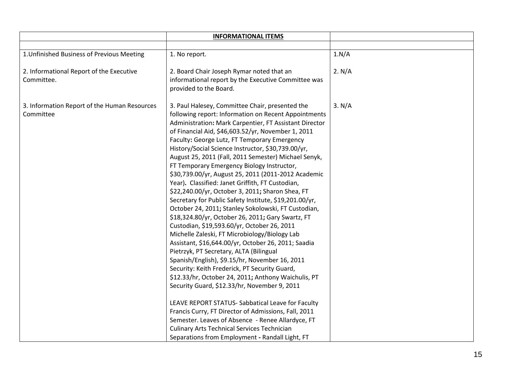|                                                           | <b>INFORMATIONAL ITEMS</b>                                                                                                                                                                                                                                                                                                                                                                                                                                                                                                                                                                                                                                                                                                                                                                                                                                                                                                                                                                                                                                                                                                                                                                                                                                                                                                                                                                                                                                      |        |
|-----------------------------------------------------------|-----------------------------------------------------------------------------------------------------------------------------------------------------------------------------------------------------------------------------------------------------------------------------------------------------------------------------------------------------------------------------------------------------------------------------------------------------------------------------------------------------------------------------------------------------------------------------------------------------------------------------------------------------------------------------------------------------------------------------------------------------------------------------------------------------------------------------------------------------------------------------------------------------------------------------------------------------------------------------------------------------------------------------------------------------------------------------------------------------------------------------------------------------------------------------------------------------------------------------------------------------------------------------------------------------------------------------------------------------------------------------------------------------------------------------------------------------------------|--------|
|                                                           |                                                                                                                                                                                                                                                                                                                                                                                                                                                                                                                                                                                                                                                                                                                                                                                                                                                                                                                                                                                                                                                                                                                                                                                                                                                                                                                                                                                                                                                                 |        |
| 1. Unfinished Business of Previous Meeting                | 1. No report.                                                                                                                                                                                                                                                                                                                                                                                                                                                                                                                                                                                                                                                                                                                                                                                                                                                                                                                                                                                                                                                                                                                                                                                                                                                                                                                                                                                                                                                   | 1.N/A  |
| 2. Informational Report of the Executive<br>Committee.    | 2. Board Chair Joseph Rymar noted that an<br>informational report by the Executive Committee was<br>provided to the Board.                                                                                                                                                                                                                                                                                                                                                                                                                                                                                                                                                                                                                                                                                                                                                                                                                                                                                                                                                                                                                                                                                                                                                                                                                                                                                                                                      | 2. N/A |
| 3. Information Report of the Human Resources<br>Committee | 3. Paul Halesey, Committee Chair, presented the<br>following report: Information on Recent Appointments<br>Administration: Mark Carpentier, FT Assistant Director<br>of Financial Aid, \$46,603.52/yr, November 1, 2011<br>Faculty: George Lutz, FT Temporary Emergency<br>History/Social Science Instructor, \$30,739.00/yr,<br>August 25, 2011 (Fall, 2011 Semester) Michael Senyk,<br>FT Temporary Emergency Biology Instructor,<br>\$30,739.00/yr, August 25, 2011 (2011-2012 Academic<br>Year). Classified: Janet Griffith, FT Custodian,<br>\$22,240.00/yr, October 3, 2011; Sharon Shea, FT<br>Secretary for Public Safety Institute, \$19,201.00/yr,<br>October 24, 2011; Stanley Sokolowski, FT Custodian,<br>\$18,324.80/yr, October 26, 2011; Gary Swartz, FT<br>Custodian, \$19,593.60/yr, October 26, 2011<br>Michelle Zaleski, FT Microbiology/Biology Lab<br>Assistant, \$16,644.00/yr, October 26, 2011; Saadia<br>Pietrzyk, PT Secretary, ALTA (Bilingual<br>Spanish/English), \$9.15/hr, November 16, 2011<br>Security: Keith Frederick, PT Security Guard,<br>\$12.33/hr, October 24, 2011; Anthony Waichulis, PT<br>Security Guard, \$12.33/hr, November 9, 2011<br>LEAVE REPORT STATUS- Sabbatical Leave for Faculty<br>Francis Curry, FT Director of Admissions, Fall, 2011<br>Semester. Leaves of Absence - Renee Allardyce, FT<br><b>Culinary Arts Technical Services Technician</b><br>Separations from Employment - Randall Light, FT | 3. N/A |